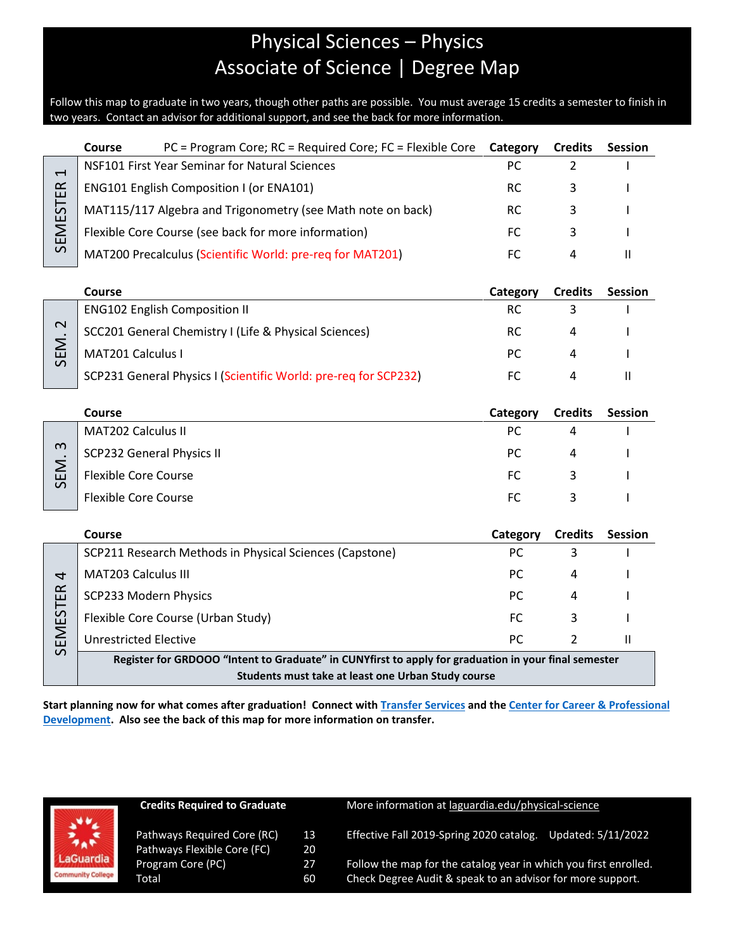## Physical Sciences – Physics Associate of Science | Degree Map

Follow this map to graduate in two years, though other paths are possible. You must average 15 credits a semester to finish in two years. Contact an advisor for additional support, and see the back for more information.

|           | Course | $PC = Program Core$ ; $RC = Required Core$ ; $FC = Flexible Core$ | Category | <b>Credits</b> | <b>Session</b> |
|-----------|--------|-------------------------------------------------------------------|----------|----------------|----------------|
| ᆸ         |        | NSF101 First Year Seminar for Natural Sciences                    | PC.      |                |                |
| E         |        | <b>ENG101 English Composition I (or ENA101)</b>                   | RC.      |                |                |
| $\rm \Xi$ |        | MAT115/117 Algebra and Trigonometry (see Math note on back)       | RC.      |                |                |
| Σ<br>ш    |        | Flexible Core Course (see back for more information)              | FC.      |                |                |
| $\sim$    |        | MAT200 Precalculus (Scientific World: pre-req for MAT201)         |          | 4              |                |

|   | Course                                                          | Category | <b>Credits</b> | <b>Session</b> |
|---|-----------------------------------------------------------------|----------|----------------|----------------|
|   | <b>ENG102 English Composition II</b>                            | RC       |                |                |
|   | SCC201 General Chemistry I (Life & Physical Sciences)           | RC       |                |                |
| ₩ | MAT201 Calculus I                                               | PC.      |                |                |
|   | SCP231 General Physics I (Scientific World: pre-req for SCP232) |          |                |                |

|                                | <b>Course</b>                    | Category | <b>Credits</b> | <b>Session</b> |
|--------------------------------|----------------------------------|----------|----------------|----------------|
| $\infty$<br>ш<br>$\mathcal{L}$ | MAT202 Calculus II               | РC       |                |                |
|                                | <b>SCP232 General Physics II</b> | РC       |                |                |
|                                | <b>Flexible Core Course</b>      | FC       |                |                |
|                                | Flexible Core Course             | FC       |                |                |

|                                                    | Course                                                                                               | Category      | <b>Credits</b> | <b>Session</b> |  |
|----------------------------------------------------|------------------------------------------------------------------------------------------------------|---------------|----------------|----------------|--|
|                                                    | SCP211 Research Methods in Physical Sciences (Capstone)                                              | РC            |                |                |  |
| $\overline{a}$                                     | MAT203 Calculus III                                                                                  | <sub>PC</sub> | 4              |                |  |
| $\propto$<br>ш                                     | SCP233 Modern Physics                                                                                | <sub>PC</sub> | 4              |                |  |
| EST                                                | Flexible Core Course (Urban Study)                                                                   | FC.           | 3              |                |  |
| Σ<br>ш                                             | Unrestricted Elective                                                                                | <sub>PC</sub> |                |                |  |
| $\Omega$                                           | Register for GRDOOO "Intent to Graduate" in CUNYfirst to apply for graduation in your final semester |               |                |                |  |
| Students must take at least one Urban Study course |                                                                                                      |               |                |                |  |

**Start planning now for what comes after graduation! Connect with [Transfer Services](https://www.laguardia.edu/transferservices/) and the [Center for Career & Professional](https://www.laguardia.edu/careerservices/)  [Development.](https://www.laguardia.edu/careerservices/) Also see the back of this map for more information on transfer.**

|                          | <b>Credits Required to Graduate</b>                                             |                 | More information at laguardia.edu/physical-science                                                                                 |  |  |
|--------------------------|---------------------------------------------------------------------------------|-----------------|------------------------------------------------------------------------------------------------------------------------------------|--|--|
| 禁<br>LaGuardia           | Pathways Required Core (RC)<br>Pathways Flexible Core (FC)<br>Program Core (PC) | 13<br>20<br>27. | Effective Fall 2019-Spring 2020 catalog.<br>Updated: 5/11/2022<br>Follow the map for the catalog year in which you first enrolled. |  |  |
| <b>Community College</b> | Total                                                                           | 60              | Check Degree Audit & speak to an advisor for more support.                                                                         |  |  |